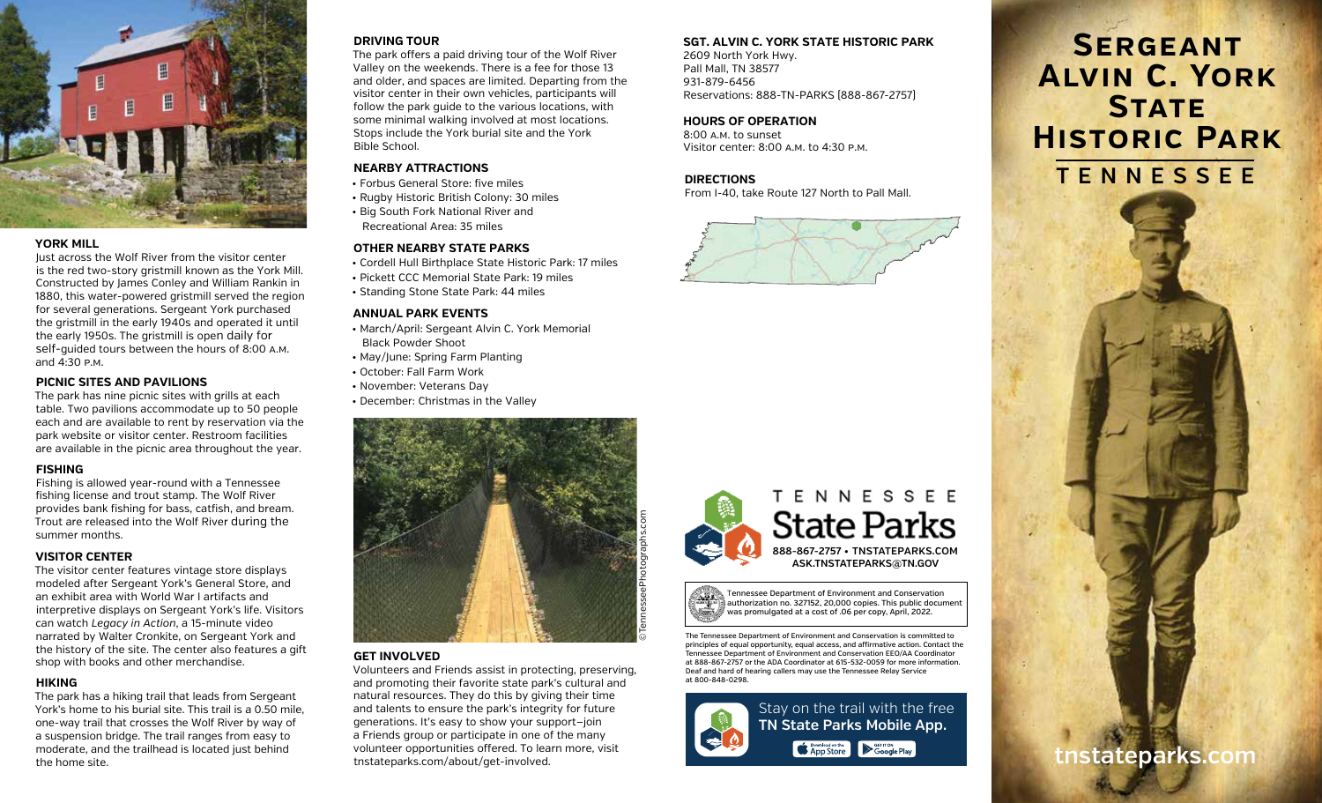

### **YORK MILL**

Just across the Wolf River from the visitor center is the red two-story gristmill known as the York Mill. Constructed by James Conley and William Rankin in 1880, this water-powered gristmill served the region for several generations. Sergeant York purchased the gristmill in the early 1940s and operated it until the early 1950s. The gristmill is open daily for self-guided tours between the hours of 8:00 a.m. and 4:30 p.m.

#### **PICNIC SITES AND PAVILIONS**

The park has nine picnic sites with grills at each table. Two pavilions accommodate up to 50 people each and are available to rent by reservation via the park website or visitor center. Restroom facilities are available in the picnic area throughout the year.

# **FISHING**

Fishing is allowed year-round with a Tennessee fishing license and trout stamp. The Wolf River provides bank fishing for bass, catfish, and bream. Trout are released into the Wolf River during the summer months.

# **VISITOR CENTER**

The visitor center features vintage store displays modeled after Sergeant York's General Store, and an exhibit area with World War I artifacts and interpretive displays on Sergeant York's life. Visitors can watch *Legacy in Action*, a 15-minute video narrated by Walter Cronkite, on Sergeant York and the history of the site. The center also features a gift shop with books and other merchandise.

# **HIKING**

The park has a hiking trail that leads from Sergeant York's home to his burial site. This trail is a 0.50 mile, one-way trail that crosses the Wolf River by way of a suspension bridge. The trail ranges from easy to moderate, and the trailhead is located just behind the home site.

#### **DRIVING TOUR**

The park offers a paid driving tour of the Wolf River Valley on the weekends. There is a fee for those 13 and older, and spaces are limited. Departing from the visitor center in their own vehicles, participants will follow the park guide to the various locations, with some minimal walking involved at most locations. Stops include the York burial site and the York Bible School.

# **NEARBY ATTRACTIONS**

- Forbus General Store: five miles
- Rugby Historic British Colony: 30 miles
- Big South Fork National River and Recreational Area: 35 miles

# **OTHER NEARBY STATE PARKS**

- Cordell Hull Birthplace State Historic Park: 17 miles
- Pickett CCC Memorial State Park: 19 miles
- Standing Stone State Park: 44 miles

#### **ANNUAL PARK EVENTS**

- March/April: Sergeant Alvin C. York Memorial Black Powder Shoot
- May/June: Spring Farm Planting
- October: Fall Farm Work
- November: Veterans Day
- December: Christmas in the Valley



# **GET INVOLVED**

Volunteers and Friends assist in protecting, preserving, and promoting their favorite state park's cultural and natural resources. They do this by giving their time and talents to ensure the park's integrity for future generations. It's easy to show your support—join a Friends group or participate in one of the many volunteer opportunities offered. To learn more, visit tnstateparks.com/about/get-involved.

# **SGT. ALVIN C. YORK STATE HISTORIC PARK**

2609 North York Hwy. Pall Mall, TN 38577 931-879-6456 Reservations: 888-TN-PARKS (888-867-2757)

#### **HOURS OF OPERATION**

8:00 a.m. to sunset Visitor center: 8:00 a.m. to 4:30 p.m.

# **DIRECTIONS**

From I-40, take Route 127 North to Pall Mall.







The Tennessee Department of Environment and Conservation is committed to principles of equal opportunity, equal access, and affirmative action. Contact the Tennessee Department of Environment and Conservation EEO/AA Coordinator at 888-867-2757 or the ADA Coordinator at 615-532-0059 for more information. Deaf and hard of hearing callers may use the Tennessee Relay Service at 800-848-0298.



**TENNESSEE Sergeant Alvin C. York STATE Historic Park**